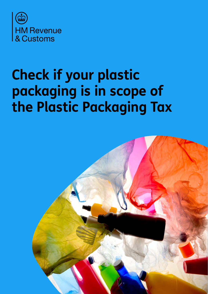

# **Check if your plastic packaging is in scope of the Plastic Packaging Tax**

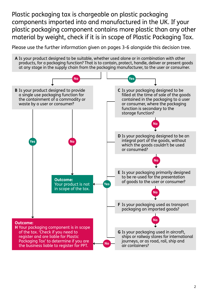Plastic packaging tax is chargeable on plastic packaging components imported into and manufactured in the UK. If your plastic packaging component contains more plastic than any other material by weight, check if it is in scope of Plastic Packaging Tax.

Please use the further information given on pages 3-6 alongside this decision tree.

**A** Is your product designed to be suitable, whether used alone or in combination with other products, for a packaging function? That is to contain, protect, handle, deliver or present goods at any stage in the supply chain from the packaging manufacturer, to the user or consumer.

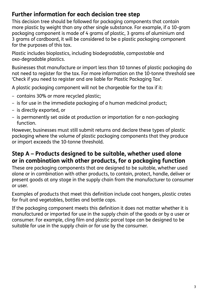## **Further information for each decision tree step**

This decision tree should be followed for packaging components that contain more plastic by weight than any other single substance. For example, if a 10-gram packaging component is made of 4 grams of plastic, 3 grams of aluminium and 3 grams of cardboard, it will be considered to be a plastic packaging component for the purposes of this tax.

Plastic includes bioplastics, including biodegradable, compostable and oxo-degradable plastics.

Businesses that manufacture or import less than 10 tonnes of plastic packaging do not need to register for the tax. For more information on the 10-tonne threshold see 'Check if you need to register and are liable for Plastic Packaging Tax'.

A plastic packaging component will not be chargeable for the tax if it:

- contains 30% or more recycled plastic;
- is for use in the immediate packaging of a human medicinal product;
- is directly exported, or
- is permanently set aside at production or importation for a non-packaging function.

However, businesses must still submit returns and declare these types of plastic packaging where the volume of plastic packaging components that they produce or import exceeds the 10-tonne threshold.

#### **Step A – Products designed to be suitable, whether used alone or in combination with other products, for a packaging function**

These are packaging components that are designed to be suitable, whether used alone or in combination with other products, to contain, protect, handle, deliver or present goods at any stage in the supply chain from the manufacturer to consumer or user.

Examples of products that meet this definition include coat hangers, plastic crates for fruit and vegetables, bottles and bottle caps.

If the packaging component meets this definition it does not matter whether it is manufactured or imported for use in the supply chain of the goods or by a user or consumer. For example, cling film and plastic parcel tape can be designed to be suitable for use in the supply chain or for use by the consumer.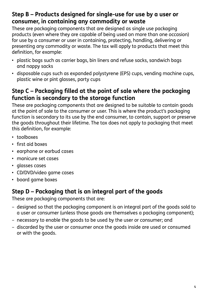### **Step B – Products designed for single-use for use by a user or consumer, in containing any commodity or waste**

These are packaging components that are designed as single use packaging products (even where they are capable of being used on more than one occasion) for use by a consumer or user in containing, protecting, handling, delivering or presenting any commodity or waste. The tax will apply to products that meet this definition, for example:

- plastic bags such as carrier bags, bin liners and refuse sacks, sandwich bags and nappy sacks
- disposable cups such as expanded polystyrene (EPS) cups, vending machine cups, plastic wine or pint glasses, party cups

## **Step C – Packaging filled at the point of sale where the packaging function is secondary to the storage function**

These are packaging components that are designed to be suitable to contain goods at the point of sale to the consumer or user. This is where the product's packaging function is secondary to its use by the end consumer, to contain, support or preserve the goods throughout their lifetime. The tax does not apply to packaging that meet this definition, for example:

- toolboxes
- first aid boxes
- earphone or earbud cases
- manicure set cases
- glasses cases
- CD/DVD/video game cases
- board game boxes

# **Step D – Packaging that is an integral part of the goods**

These are packaging components that are:

- designed so that the packaging component is an integral part of the goods sold to a user or consumer (unless those goods are themselves a packaging component);
- necessary to enable the goods to be used by the user or consumer; and
- discarded by the user or consumer once the goods inside are used or consumed or with the goods.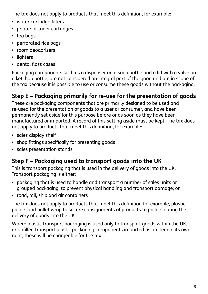The tax does not apply to products that meet this definition, for example:

- water cartridge filters
- printer or toner cartridges
- tea bags
- perforated rice bags
- room deodorisers
- lighters
- dental floss cases

Packaging components such as a dispenser on a soap bottle and a lid with a valve on a ketchup bottle, are not considered an integral part of the good and are in scope of the tax because it is possible to use or consume these goods without the packaging.

# **Step E – Packaging primarily for re-use for the presentation of goods**

These are packaging components that are primarily designed to be used and re-used for the presentation of goods to a user or consumer, and have been permanently set aside for this purpose before or as soon as they have been manufactured or imported. A record of this setting aside must be kept. The tax does not apply to products that meet this definition, for example:

- sales display shelf
- shop fittings specifically for presenting goods
- sales presentation stands

# **Step F – Packaging used to transport goods into the UK**

This is transport packaging that is used in the delivery of goods into the UK. Transport packaging is either:

- packaging that is used to handle and transport a number of sales units or grouped packaging, to prevent physical handling and transport damage; or
- road, rail, ship and air containers

The tax does not apply to products that meet this definition for example, plastic pallets and pallet wrap to secure consignments of products to pallets during the delivery of goods into the UK

Where plastic transport packaging is used only to transport goods within the UK, or unfilled transport plastic packaging components imported as an item in its own right, these will be chargeable for the tax.